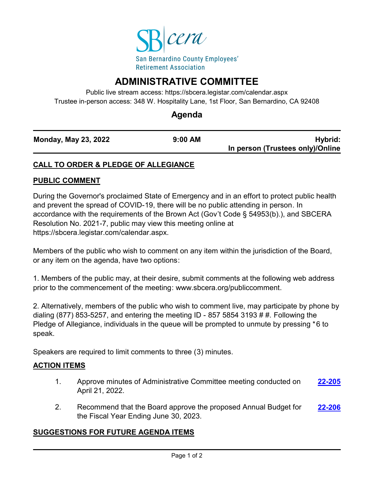

# **ADMINISTRATIVE COMMITTEE**

Public live stream access: https://sbcera.legistar.com/calendar.aspx Trustee in-person access: 348 W. Hospitality Lane, 1st Floor, San Bernardino, CA 92408

## **Agenda**

| <b>Monday, May 23, 2022</b> | $9:00$ AM | Hybrid:                          |
|-----------------------------|-----------|----------------------------------|
|                             |           | In person (Trustees only)/Online |

### **CALL TO ORDER & PLEDGE OF ALLEGIANCE**

#### **PUBLIC COMMENT**

During the Governor's proclaimed State of Emergency and in an effort to protect public health and prevent the spread of COVID-19, there will be no public attending in person. In accordance with the requirements of the Brown Act (Gov't Code § 54953(b).), and SBCERA Resolution No. 2021-7, public may view this meeting online at https://sbcera.legistar.com/calendar.aspx.

Members of the public who wish to comment on any item within the jurisdiction of the Board, or any item on the agenda, have two options:

1. Members of the public may, at their desire, submit comments at the following web address prior to the commencement of the meeting: www.sbcera.org/publiccomment.

2. Alternatively, members of the public who wish to comment live, may participate by phone by dialing (877) 853-5257, and entering the meeting ID - 857 5854 3193 # #. Following the Pledge of Allegiance, individuals in the queue will be prompted to unmute by pressing \*6 to speak.

Speakers are required to limit comments to three (3) minutes.

#### **ACTION ITEMS**

- 1. Approve minutes of Administrative Committee meeting conducted on April 21, 2022. **[22-205](http://sbcera.legistar.com/gateway.aspx?m=l&id=/matter.aspx?key=4522)**
- 2. Recommend that the Board approve the proposed Annual Budget for the Fiscal Year Ending June 30, 2023. **[22-206](http://sbcera.legistar.com/gateway.aspx?m=l&id=/matter.aspx?key=4523)**

#### **SUGGESTIONS FOR FUTURE AGENDA ITEMS**